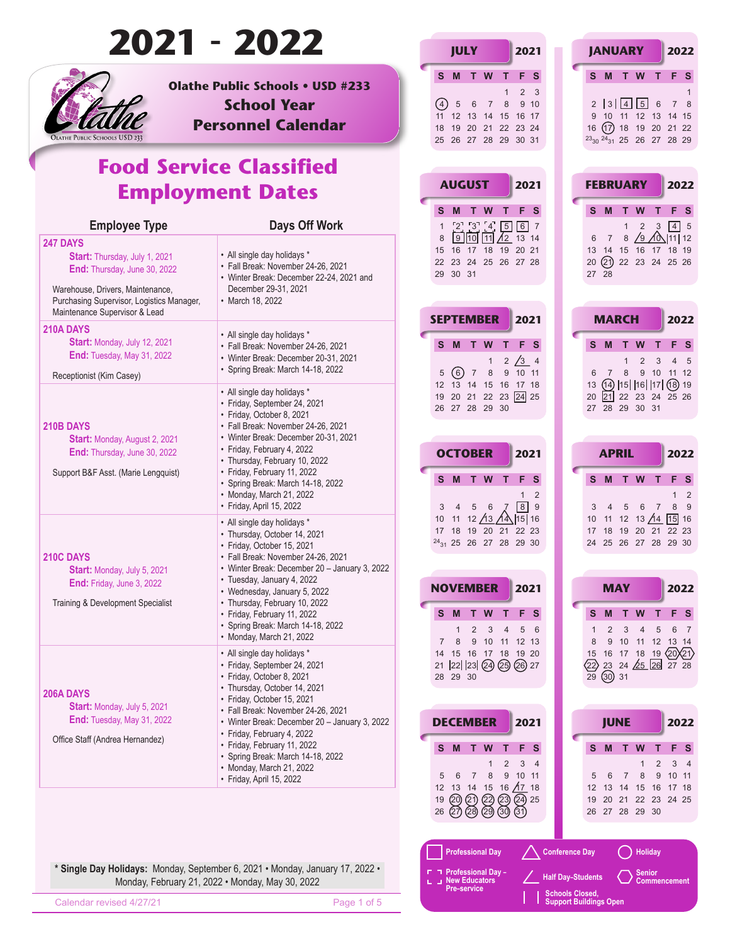|                                                                                                                                                                                 | 2021 - 2022                                                                                                                                                                      | <b>JULY</b><br>2021                                                                                                                                                                | <b>JANUARY</b><br>2022                                                                                                                                                            |
|---------------------------------------------------------------------------------------------------------------------------------------------------------------------------------|----------------------------------------------------------------------------------------------------------------------------------------------------------------------------------|------------------------------------------------------------------------------------------------------------------------------------------------------------------------------------|-----------------------------------------------------------------------------------------------------------------------------------------------------------------------------------|
| OLATHE PUBLIC SCHOOLS USD 233                                                                                                                                                   | <b>Olathe Public Schools . USD #233</b><br><b>School Year</b><br><b>Personnel Calendar</b>                                                                                       | T W<br>F S<br>S.<br>M<br>т<br>2 <sup>3</sup><br>(4)<br>$6\overline{6}$<br>5<br>8<br>9 10<br>$\overline{7}$<br>11 12 13 14 15 16 17<br>18 19 20 21 22 23 24<br>25 26 27 28 29 30 31 | F <sub>S</sub><br>S M T W<br>T.<br>2  3  4  5 6<br>7 8<br>9 10 11 12 13 14 15<br>16 (17) 18 19 20 21 22<br><sup>23</sup> <sub>30</sub> <sup>24</sup> <sub>31</sub> 25 26 27 28 29 |
|                                                                                                                                                                                 | <b>Food Service Classified</b><br><b>Employment Dates</b>                                                                                                                        | <b>AUGUST</b><br>2021<br>W<br>F <sub>S</sub><br>S M<br>$\mathbf{T}$<br>т                                                                                                           | <b>FEBRUARY</b><br>2022<br>F <sub>S</sub><br>S M<br>T.<br>W<br>т                                                                                                                  |
| <b>Employee Type</b><br><b>247 DAYS</b>                                                                                                                                         | Days Off Work                                                                                                                                                                    | [2] [3] [4] [5]<br>6 7<br>$9$ 10 11 $/12$ 13 14<br>8                                                                                                                               | $4 \mid 5$<br>$\overline{2}$<br>$\overline{\mathbf{3}}$<br>$\mathbf{1}$<br>7 8 $\sqrt{9}$ $\sqrt{0}\sqrt{11}\sqrt{12}$<br>6                                                       |
| Start: Thursday, July 1, 2021<br>End: Thursday, June 30, 2022<br>Warehouse, Drivers, Maintenance,<br>Purchasing Supervisor, Logistics Manager,<br>Maintenance Supervisor & Lead | • All single day holidays *<br>· Fall Break: November 24-26, 2021<br>• Winter Break: December 22-24, 2021 and<br>December 29-31, 2021<br>• March 18, 2022                        | 15 16 17 18 19 20 21<br>22 23 24 25 26 27 28<br>29 30 31                                                                                                                           | 13 14 15 16 17 18 19<br>20 21 22 23 24 25 26<br>27 28                                                                                                                             |
| 210A DAYS                                                                                                                                                                       | • All single day holidays *                                                                                                                                                      | <b>SEPTEMBER</b><br>2021                                                                                                                                                           | <b>MARCH</b><br>2022                                                                                                                                                              |
| Start: Monday, July 12, 2021<br><b>End: Tuesday, May 31, 2022</b><br>Receptionist (Kim Casey)                                                                                   | · Fall Break: November 24-26, 2021<br>• Winter Break: December 20-31, 2021<br>· Spring Break: March 14-18, 2022                                                                  | S M<br>W<br>F.<br>- S<br>$\mathbf{T}$<br>т<br>$2 \times 3$ 4<br>5(6)<br>$\overline{7}$<br>8<br>9 10 11                                                                             | S M T<br><b>W</b><br>F S<br>2<br>4 <sub>5</sub><br>3<br>1<br>9 10 11 12<br>8<br>$\overline{7}$<br>6                                                                               |
| 210B DAYS<br><b>Start: Monday, August 2, 2021</b>                                                                                                                               | • All single day holidays *<br>• Friday, September 24, 2021<br>· Friday, October 8, 2021<br>· Fall Break: November 24-26, 2021<br>• Winter Break: December 20-31, 2021           | 12 13 14 15 16 17 18<br>19 20 21 22 23 24 25<br>26 27 28 29 30                                                                                                                     | $(14)$  15   16   17  (18) 19<br>13<br>20 21 22 23 24 25 26<br>27 28 29 30 31                                                                                                     |
| End: Thursday, June 30, 2022                                                                                                                                                    | • Friday, February 4, 2022<br>• Thursday, February 10, 2022                                                                                                                      | <b>OCTOBER</b><br>2021                                                                                                                                                             | <b>APRIL</b><br>2022                                                                                                                                                              |
| Support B&F Asst. (Marie Lengquist)                                                                                                                                             | • Friday, February 11, 2022<br>• Spring Break: March 14-18, 2022<br>• Monday, March 21, 2022<br>• Friday, April 15, 2022                                                         | S M T W<br>F <sub>S</sub><br>T.<br>2<br>$\mathbf{1}$<br>$\sqrt{8}$<br>9<br>5 6                                                                                                     | S M T W<br>F S<br>т<br>$1\quad 2$<br>8 9<br>5<br>$6\overline{6}$<br>$\overline{7}$                                                                                                |
| 210C DAYS<br><b>Start:</b> Monday, July 5, 2021                                                                                                                                 | • All single day holidays *<br>• Thursday, October 14, 2021<br>· Friday, October 15, 2021<br>• Fall Break: November 24-26, 2021<br>• Winter Break: December 20 - January 3, 2022 | 10 11 12 $\frac{\cancel{13}}{\cancel{13}}$ $\cancel{14}$  15   16<br>17 18 19 20 21 22 23<br>$24_{31}$ 25 26 27 28 29 30                                                           | $15$ 16<br>10 11 12 13 $/14$<br>17 18 19 20 21 22 23<br>24 25 26 27 28 29 30                                                                                                      |
| <b>End:</b> Friday, June 3, 2022                                                                                                                                                | · Tuesday, January 4, 2022<br>• Wednesday, January 5, 2022                                                                                                                       | <b>NOVEMBER</b><br>2021                                                                                                                                                            | <b>MAY</b><br>2022                                                                                                                                                                |
| Training & Development Specialist                                                                                                                                               | • Thursday, February 10, 2022<br>• Friday, February 11, 2022<br>· Spring Break: March 14-18, 2022<br>• Monday, March 21, 2022                                                    | T W T F S<br>S M<br>$\overline{2}$<br>3<br>5 6<br>$\mathbf{1}$<br>$\overline{4}$<br>9 10 11 12 13<br>8                                                                             | F S<br><b>MTWT</b><br>s<br>6 7<br>3<br>$\overline{2}$<br>$\overline{4}$<br>5<br>9 10 11 12 13 14                                                                                  |
| 206A DAYS                                                                                                                                                                       | • All single day holidays *<br>• Friday, September 24, 2021<br>· Friday, October 8, 2021<br>• Thursday, October 14, 2021                                                         | 14 15 16 17 18 19 20<br>21 22 23 24 25 26 27<br>28 29 30                                                                                                                           | 15 16 17 18 19 $\sqrt{20}\sqrt{21}$<br>23 24 $\sqrt{25}$ 26 $\overline{27}$ 28<br>$\langle 22 \rangle$<br>$\overline{29}$ (30) 31                                                 |
| <b>Start:</b> Monday, July 5, 2021<br><b>End: Tuesday, May 31, 2022</b>                                                                                                         | · Friday, October 15, 2021<br>• Fall Break: November 24-26, 2021                                                                                                                 |                                                                                                                                                                                    |                                                                                                                                                                                   |
| Office Staff (Andrea Hernandez)                                                                                                                                                 | • Winter Break: December 20 - January 3, 2022<br>• Friday, February 4, 2022<br>• Friday, February 11, 2022                                                                       | <b>DECEMBER</b><br>2021                                                                                                                                                            | <b>JUNE</b><br>2022<br>F S                                                                                                                                                        |
|                                                                                                                                                                                 | · Spring Break: March 14-18, 2022<br>• Monday, March 21, 2022<br>• Friday, April 15, 2022                                                                                        | T F S<br>S M<br>T W<br>2<br>3 <sub>4</sub><br>6<br>9<br>10 11<br>$\overline{7}$<br>8<br>12 13 14 15 16 $\overline{A7}$ 18                                                          | $\top$<br>W<br>S M<br>т<br>2<br>$3 \quad 4$<br>$\mathbf{1}$<br>$\overline{7}$<br>8<br>9<br>10 11<br>6<br>5<br>12 13 14 15 16 17 18                                                |
|                                                                                                                                                                                 |                                                                                                                                                                                  | 19 (20 (21) (22) (23)<br>$(24)$ 25<br>(27) (28) (29) (30) (31)<br>26                                                                                                               | 19 20 21 22 23 24 25<br>26 27 28 29 30                                                                                                                                            |
|                                                                                                                                                                                 | * Single Day Holidays: Monday, September 6, 2021 · Monday, January 17, 2022 ·<br>Monday, February 21, 2022 . Monday, May 30, 2022                                                | <b>Professional Day</b><br>Professional Day -<br>∟ <b>J</b> New Educators                                                                                                          | <b>Holiday</b><br><b>Conference Day</b><br>Senior<br><b>Half Day-Students</b><br><b>Commencement</b>                                                                              |
| Calendar revised 4/27/21                                                                                                                                                        | Page 1 of 5                                                                                                                                                                      | <b>Pre-service</b>                                                                                                                                                                 | <b>Schools Closed,</b><br><b>Support Buildings Open</b>                                                                                                                           |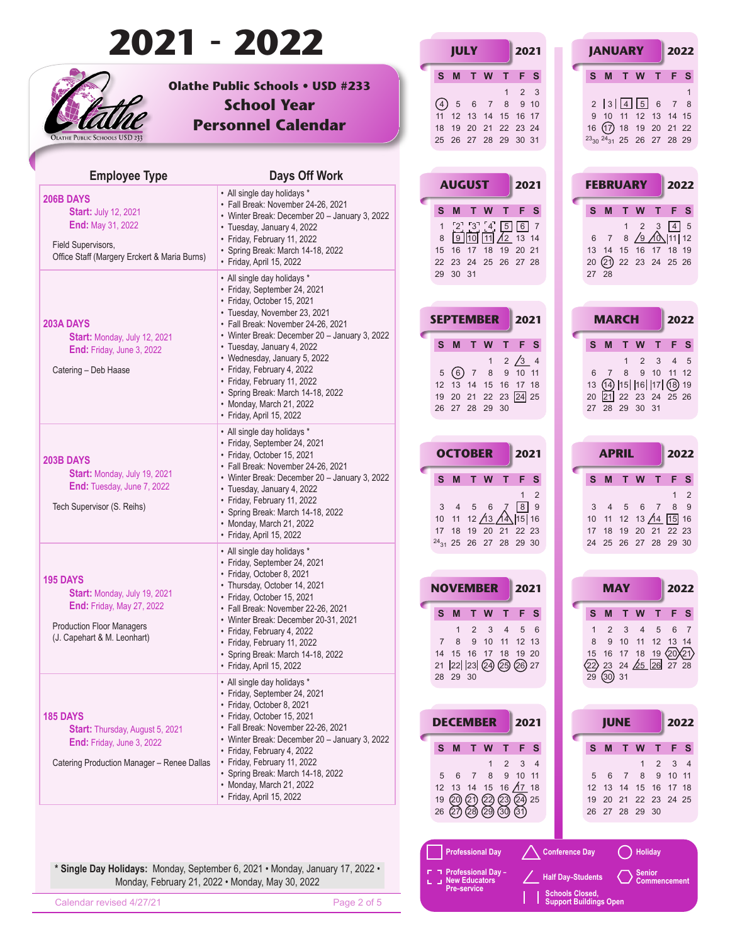|                                                                                                                                            | 2021 - 2022                                                                                                                                                                                                                                                                 | <b>JULY</b><br>2021                                                                                                                                                                                              | <b>JANUARY</b><br>2022                                                                                                                                                                                                                                           |
|--------------------------------------------------------------------------------------------------------------------------------------------|-----------------------------------------------------------------------------------------------------------------------------------------------------------------------------------------------------------------------------------------------------------------------------|------------------------------------------------------------------------------------------------------------------------------------------------------------------------------------------------------------------|------------------------------------------------------------------------------------------------------------------------------------------------------------------------------------------------------------------------------------------------------------------|
| <b>DLATHE PUBLIC SCHOOLS USD 233</b>                                                                                                       | <b>Olathe Public Schools . USD #233</b><br><b>School Year</b><br><b>Personnel Calendar</b>                                                                                                                                                                                  | S M T W<br>F S<br>т<br>2 <sup>3</sup><br>(4)<br>$6\overline{6}$<br>5<br>8<br>9 10<br>$\overline{7}$<br>11 12 13 14 15 16 17<br>18 19 20 21 22 23 24<br>25 26 27 28 29 30 31                                      | F <sub>S</sub><br>S M T W<br>T.<br>2   3   4   5   6<br>7 8<br>9 10 11 12 13 14 15<br>16 (17) 18 19 20 21 22<br><sup>23</sup> <sub>30</sub> <sup>24</sup> <sub>31</sub> 25 26 27 28 29                                                                           |
| <b>Employee Type</b>                                                                                                                       | Days Off Work                                                                                                                                                                                                                                                               |                                                                                                                                                                                                                  |                                                                                                                                                                                                                                                                  |
| 206B DAYS<br><b>Start: July 12, 2021</b><br><b>End: May 31, 2022</b><br>Field Supervisors,<br>Office Staff (Margery Erckert & Maria Burns) | • All single day holidays *<br>· Fall Break: November 24-26, 2021<br>• Winter Break: December 20 - January 3, 2022<br>• Tuesday, January 4, 2022<br>• Friday, February 11, 2022<br>• Spring Break: March 14-18, 2022<br>• Friday, April 15, 2022                            | <b>AUGUST</b><br>2021<br>S M T W<br>F <sub>S</sub><br>т<br>$\begin{bmatrix} 2 \\ 3 \\ 4 \\ 5 \end{bmatrix}$<br>6 7<br>$\mathbf{1}$<br>$9$ 10 11 $/12$ 13 14<br>8<br>15 16 17 18 19 20 21<br>22 23 24 25 26 27 28 | <b>FEBRUARY</b><br>2022<br>F <sub>S</sub><br>S M<br>$\mathsf{T}$<br>W<br>т<br>$4 \mid 5$<br>$\overline{2}$<br>$\overline{\mathbf{3}}$<br>$\mathbf{1}$<br>8 $\sqrt{9}$ $\sqrt{0}$  11   12<br>$\overline{7}$<br>6<br>13 14 15 16 17 18 19<br>20 21 22 23 24 25 26 |
| 203A DAYS                                                                                                                                  | • All single day holidays *<br>• Friday, September 24, 2021<br>· Friday, October 15, 2021<br>• Tuesday, November 23, 2021<br>• Fall Break: November 24-26, 2021<br>• Winter Break: December 20 - January 3, 2022                                                            | 29 30 31<br><b>SEPTEMBER</b><br>2021                                                                                                                                                                             | 27 28<br><b>MARCH</b><br>2022                                                                                                                                                                                                                                    |
| Start: Monday, July 12, 2021<br><b>End:</b> Friday, June 3, 2022<br>Catering - Deb Haase                                                   | • Tuesday, January 4, 2022<br>• Wednesday, January 5, 2022<br>• Friday, February 4, 2022<br>• Friday, February 11, 2022<br>• Spring Break: March 14-18, 2022<br>• Monday, March 21, 2022<br>• Friday, April 15, 2022                                                        | S M<br>W<br>$\top$<br>F<br>- S<br>т<br>$2 \times 3$ 4<br>$\mathbf{1}$<br>5(6)<br>$\overline{7}$<br>8<br>9 10 11<br>12 13 14 15 16 17 18<br>19 20 21 22 23 24 25<br>26 27 28 29 30                                | S M T<br><b>W</b><br>F S<br>2<br>4 <sub>5</sub><br>3<br>1<br>8<br>9 10 11 12<br>$\overline{7}$<br>6<br>$(14)$  15   16   17  (18) 19<br>13<br>20 21 22 23 24 25 26<br>27 28 29 30 31                                                                             |
|                                                                                                                                            | • All single day holidays *<br>• Friday, September 24, 2021                                                                                                                                                                                                                 | <b>OCTOBER</b><br>2021                                                                                                                                                                                           | 2022<br><b>APRIL</b>                                                                                                                                                                                                                                             |
| 203B DAYS<br>Start: Monday, July 19, 2021<br>End: Tuesday, June 7, 2022<br>Tech Supervisor (S. Reihs)                                      | • Friday, October 15, 2021<br>• Fall Break: November 24-26, 2021<br>• Winter Break: December 20 - January 3, 2022<br>· Tuesday, January 4, 2022<br>• Friday, February 11, 2022<br>• Spring Break: March 14-18, 2022<br>• Monday, March 21, 2022<br>• Friday, April 15, 2022 | S M T W<br>F <sub>S</sub><br>T.<br>2<br>$\mathbf{1}$<br>$\sqrt{8}$<br>9<br>5 6<br>10 11 12 $\frac{\cancel{13}}{\cancel{13}}$ $\cancel{14}$  15   16<br>17 18 19 20 21 22 23                                      | S M T W<br>F S<br>т<br>$1\quad 2$<br>8 9<br>$-5$<br>$6\overline{6}$<br>$\overline{7}$<br>10 11 12 13 $/14$<br>$15$ 16<br>17 18 19 20 21 22 23                                                                                                                    |
|                                                                                                                                            | • All single day holidays *<br>· Friday, September 24, 2021                                                                                                                                                                                                                 | $24_{31}$ 25 26 27 28 29 30                                                                                                                                                                                      | 24 25 26 27 28 29 30                                                                                                                                                                                                                                             |
| <b>195 DAYS</b><br>Start: Monday, July 19, 2021                                                                                            | • Friday, October 8, 2021<br>• Thursday, October 14, 2021<br>• Friday, October 15, 2021                                                                                                                                                                                     | <b>NOVEMBER</b><br>2021                                                                                                                                                                                          | <b>MAY</b><br>2022                                                                                                                                                                                                                                               |
| <b>End: Friday, May 27, 2022</b><br><b>Production Floor Managers</b><br>(J. Capehart & M. Leonhart)                                        | · Fall Break: November 22-26, 2021<br>• Winter Break: December 20-31, 2021<br>• Friday, February 4, 2022<br>• Friday, February 11, 2022<br>· Spring Break: March 14-18, 2022<br>• Friday, April 15, 2022                                                                    | T F S<br>S M<br>T W<br>$\overline{2}$<br>$\mathbf{1}$<br>3<br>5 6<br>$\overline{4}$<br>8<br>9 10 11 12 13<br>$\overline{7}$<br>14 15 16 17 18 19 20<br>21 22 23 24 25 26 27                                      | F <sub>S</sub><br>M T W<br>т<br>s<br>6 7<br>2<br>3<br>$\overline{4}$<br>5<br>9 10 11 12 13 14<br>8<br>16 17 18 19 20 21<br>15<br>23 24 $\sqrt{25}$ 26 27 28<br>∕22)                                                                                              |
|                                                                                                                                            | • All single day holidays *<br>• Friday, September 24, 2021<br>• Friday, October 8, 2021                                                                                                                                                                                    | 28 29 30                                                                                                                                                                                                         | $29$ $(30)$ 31                                                                                                                                                                                                                                                   |
| <b>185 DAYS</b><br><b>Start:</b> Thursday, August 5, 2021                                                                                  | • Friday, October 15, 2021<br>• Fall Break: November 22-26, 2021                                                                                                                                                                                                            | <b>DECEMBER</b><br>2021                                                                                                                                                                                          | <b>JUNE</b><br>2022                                                                                                                                                                                                                                              |
| <b>End: Friday, June 3, 2022</b><br>Catering Production Manager - Renee Dallas                                                             | • Winter Break: December 20 - January 3, 2022<br>• Friday, February 4, 2022<br>• Friday, February 11, 2022<br>· Spring Break: March 14-18, 2022<br>• Monday, March 21, 2022<br>· Friday, April 15, 2022                                                                     | F S<br>S M<br>◆<br>W<br>T.<br>2<br>3 <sub>4</sub><br>6<br>9<br>10 11<br>$\overline{7}$<br>8<br>12 13 14 15 16 $\overline{A7}$ 18<br>19 (20 (21) (22) (23)<br>$(24)$ 25<br>(27 Q8)<br>26<br>$(29)$ $(30)$<br>(31) | F S<br>S.<br>M<br>$\mathbf{T}$<br>W<br>т<br>3 <sub>4</sub><br>$\mathbf{1}$<br>2<br>8<br>10 11<br>6<br>$\overline{7}$<br>9<br>5<br>15 16<br>12 <sup>2</sup><br>13 14<br>17 18<br>19 20 21 22 23 24 25<br>26 27 28 29 30                                           |
|                                                                                                                                            |                                                                                                                                                                                                                                                                             | <b>Professional Day</b>                                                                                                                                                                                          | <b>Holiday</b><br><b>Conference Day</b>                                                                                                                                                                                                                          |
|                                                                                                                                            | * Single Day Holidays: Monday, September 6, 2021 · Monday, January 17, 2022 ·<br>Monday, February 21, 2022 . Monday, May 30, 2022                                                                                                                                           | Professional Day -<br>L J New Educators                                                                                                                                                                          | Senior<br><b>Half Day-Students</b><br><b>Commencement</b>                                                                                                                                                                                                        |
| Calendar revised 4/27/21                                                                                                                   | Page 2 of 5                                                                                                                                                                                                                                                                 | Pre-service                                                                                                                                                                                                      | <b>Schools Closed,</b><br><b>Support Buildings Open</b>                                                                                                                                                                                                          |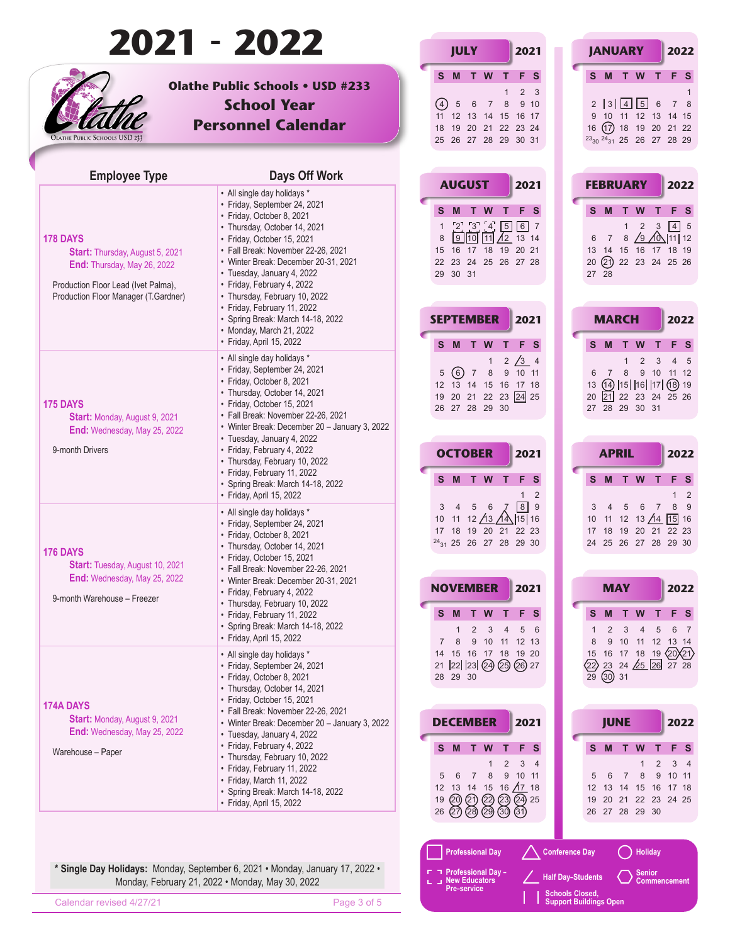|                                                                                                                                                                  | 2021 - 2022                                                                                                                                                                                                                                                                                                                                                      | <b>JULY</b>                                                                                                                                                                                                      | 2021                                        | <b>JANUARY</b>                                                                                                                                      | 2022                                                                                                            |
|------------------------------------------------------------------------------------------------------------------------------------------------------------------|------------------------------------------------------------------------------------------------------------------------------------------------------------------------------------------------------------------------------------------------------------------------------------------------------------------------------------------------------------------|------------------------------------------------------------------------------------------------------------------------------------------------------------------------------------------------------------------|---------------------------------------------|-----------------------------------------------------------------------------------------------------------------------------------------------------|-----------------------------------------------------------------------------------------------------------------|
| <b>DLATHE PUBLIC SCHOOLS USD 233</b>                                                                                                                             | <b>Olathe Public Schools . USD #233</b><br><b>School Year</b><br><b>Personnel Calendar</b>                                                                                                                                                                                                                                                                       | M T W<br>S.<br>т<br>(4)<br>$6\overline{6}$<br>$\sqrt{5}$<br>8<br>$\overline{7}$<br>11 12 13 14 15 16 17<br>18 19 20 21 22 23 24<br>25 26 27 28 29 30 31                                                          | F S<br>$2 \quad 3$<br>9 <sub>10</sub>       | S M T W<br>2  3  4 5 6<br>9 10 11 12 13 14 15<br>16 (17) 18 19 20 21 22<br>$23_{30}$ $24_{31}$ 25 26 27 28 29                                       | F <sub>S</sub><br>T<br>7 8                                                                                      |
| <b>Employee Type</b>                                                                                                                                             | Days Off Work                                                                                                                                                                                                                                                                                                                                                    |                                                                                                                                                                                                                  |                                             |                                                                                                                                                     |                                                                                                                 |
| 178 DAYS<br><b>Start:</b> Thursday, August 5, 2021<br>End: Thursday, May 26, 2022<br>Production Floor Lead (Ivet Palma),<br>Production Floor Manager (T.Gardner) | • All single day holidays *<br>• Friday, September 24, 2021<br>· Friday, October 8, 2021<br>• Thursday, October 14, 2021<br>· Friday, October 15, 2021<br>• Fall Break: November 22-26, 2021<br>• Winter Break: December 20-31, 2021<br>· Tuesday, January 4, 2022<br>• Friday, February 4, 2022<br>• Thursday, February 10, 2022<br>• Friday, February 11, 2022 | <b>AUGUST</b><br>W<br>S M<br>$\top$<br>т<br>$\begin{bmatrix} 2 \\ 3 \\ 4 \end{bmatrix}$<br>$\boxed{5}$<br>$\mathbf{1}$<br>$9$ 10 11 $/12$ 13 14<br>8<br>15 16 17 18 19 20 21<br>22 23 24 25 26 27 28<br>29 30 31 | 2021<br>F <sub>S</sub><br>6 7               | <b>FEBRUARY</b><br>S M<br>T.<br>W<br>$\overline{2}$<br>$\mathbf{1}$<br>$\overline{7}$<br>6<br>13 14 15 16 17 18 19<br>20 21 22 23 24 25 26<br>27 28 | 2022<br>F <sub>S</sub><br>T<br>$\boxed{4}$ 5<br>$\overline{\mathbf{3}}$<br>8 $\sqrt{9}$ $\sqrt{0}\sqrt{111}$ 12 |
|                                                                                                                                                                  | • Spring Break: March 14-18, 2022<br>• Monday, March 21, 2022                                                                                                                                                                                                                                                                                                    | <b>SEPTEMBER</b>                                                                                                                                                                                                 | 2021                                        | <b>MARCH</b>                                                                                                                                        | 2022                                                                                                            |
| 175 DAYS<br><b>Start: Monday, August 9, 2021</b><br>End: Wednesday, May 25, 2022                                                                                 | · Friday, April 15, 2022<br>• All single day holidays *<br>• Friday, September 24, 2021<br>• Friday, October 8, 2021<br>• Thursday, October 14, 2021<br>· Friday, October 15, 2021<br>· Fall Break: November 22-26, 2021<br>• Winter Break: December 20 - January 3, 2022<br>• Tuesday, January 4, 2022                                                          | S M<br>W<br>$\mathbf{T}$<br>5(6)7<br>8<br>12 13 14 15 16 17 18<br>19 20 21 22 23 24 25<br>26 27 28 29 30                                                                                                         | F<br>- S<br>2 / 3 4<br>9 10 11              | S M T<br><b>W</b><br>2<br>1<br>9 10<br>8<br>$\overline{7}$<br>6<br>$(14)$  15   16   17  (18) 19<br>13<br>20 21 22 23 24 25 26<br>27 28 29 30 31    | F S<br>4 <sub>5</sub><br>3<br>11 12                                                                             |
| 9-month Drivers                                                                                                                                                  | • Friday, February 4, 2022<br>• Thursday, February 10, 2022                                                                                                                                                                                                                                                                                                      | <b>OCTOBER</b>                                                                                                                                                                                                   | 2021                                        | <b>APRIL</b>                                                                                                                                        | 2022                                                                                                            |
|                                                                                                                                                                  | • Friday, February 11, 2022<br>• Spring Break: March 14-18, 2022<br>· Friday, April 15, 2022                                                                                                                                                                                                                                                                     | S M T W<br>т<br>5 6<br>$\overline{4}$                                                                                                                                                                            | F S<br>2<br>$\mathbf{1}$<br>$\sqrt{8}$<br>9 | S M T W<br>5<br>$6\overline{6}$                                                                                                                     | F S<br>т<br>$1\quad 2$<br>8 9<br>$\overline{7}$                                                                 |
| <b>176 DAYS</b><br><b>Start:</b> Tuesday, August 10, 2021<br>End: Wednesday, May 25, 2022<br>9-month Warehouse - Freezer                                         | • All single day holidays *<br>· Friday, September 24, 2021<br>· Friday, October 8, 2021<br>• Thursday, October 14, 2021<br>· Friday, October 15, 2021<br>• Fall Break: November 22-26, 2021                                                                                                                                                                     | 10 11 12 $\sqrt{13}$ $\sqrt{4}$ 15 16<br>17 18 19 20 21 22 23<br>$24_{31}$ 25 26 27 28 29 30                                                                                                                     |                                             | 10 11 12 13 $/14$<br>17 18 19 20 21 22 23<br>24 25 26 27 28 29 30                                                                                   | $15$ 16                                                                                                         |
|                                                                                                                                                                  | • Winter Break: December 20-31, 2021<br>• Friday, February 4, 2022<br>• Thursday, February 10, 2022<br>• Friday, February 11, 2022<br>• Spring Break: March 14-18, 2022<br>· Friday, April 15, 2022                                                                                                                                                              | <b>NOVEMBER</b><br>S M T W T F S<br>$\overline{2}$<br>3<br>1<br>$\overline{4}$<br>9 10 11 12 13<br>8<br>$\overline{7}$                                                                                           | 2021<br>5 6                                 | <b>MAY</b><br>M T W T<br>s<br>2<br>3<br>$\overline{4}$<br>9 10 11 12 13 14<br>8                                                                     | 2022<br>F <sub>S</sub><br>6 7<br>5                                                                              |
| <b>174A DAYS</b><br><b>Start: Monday, August 9, 2021</b><br>End: Wednesday, May 25, 2022                                                                         | • All single day holidays *<br>· Friday, September 24, 2021<br>· Friday, October 8, 2021<br>• Thursday, October 14, 2021<br>· Friday, October 15, 2021                                                                                                                                                                                                           | 14 15 16 17 18 19 20<br>21 22 23 24 25 26 27<br>28 29 30                                                                                                                                                         |                                             | 15 16 17 18 19 $\langle 20 \rangle$ 21<br>23 24 $\sqrt{25}$ 26 27 28<br>$\langle 22 \rangle$<br>$29$ 30 31                                          |                                                                                                                 |
|                                                                                                                                                                  | · Fall Break: November 22-26, 2021<br>• Winter Break: December 20 - January 3, 2022                                                                                                                                                                                                                                                                              | <b>DECEMBER</b>                                                                                                                                                                                                  | 2021                                        | <b>JUNE</b>                                                                                                                                         | 2022                                                                                                            |
| Warehouse - Paper                                                                                                                                                | · Tuesday, January 4, 2022<br>• Friday, February 4, 2022<br>• Thursday, February 10, 2022<br>• Friday, February 11, 2022<br>· Friday, March 11, 2022<br>• Spring Break: March 14-18, 2022<br>· Friday, April 15, 2022                                                                                                                                            | S M<br>T.<br>W<br>T.<br>2<br>6<br>$\overline{7}$<br>8<br>9<br>12 13 14 15 16 $\overline{17}$ 18<br>20 21 22 23 24 25<br>19<br>26<br>(27) (28) (29) (30)                                                          | F S<br>3 <sub>4</sub><br>10 11<br>(31)      | M<br>$\mathbf{T}$<br>W<br>S.<br>$\mathbf{1}$<br>6<br>$\overline{7}$<br>8<br>5<br>12 13 14 15 16 17 18<br>19 20 21 22 23 24 25<br>26 27 28 29 30     | F <sub>S</sub><br>т<br>3 <sub>4</sub><br>$\overline{2}$<br>10 11<br>9                                           |
|                                                                                                                                                                  |                                                                                                                                                                                                                                                                                                                                                                  |                                                                                                                                                                                                                  |                                             |                                                                                                                                                     |                                                                                                                 |
|                                                                                                                                                                  | * Single Day Holidays: Monday, September 6, 2021 · Monday, January 17, 2022 ·<br>Monday, February 21, 2022 . Monday, May 30, 2022                                                                                                                                                                                                                                | <b>Professional Day</b><br>- Professional Day<br>J New Educators<br>Pre-service                                                                                                                                  |                                             | <b>Holiday</b><br><b>Conference Day</b><br><b>Senior</b><br><b>Half Day-Students</b>                                                                | <b>Commencement</b>                                                                                             |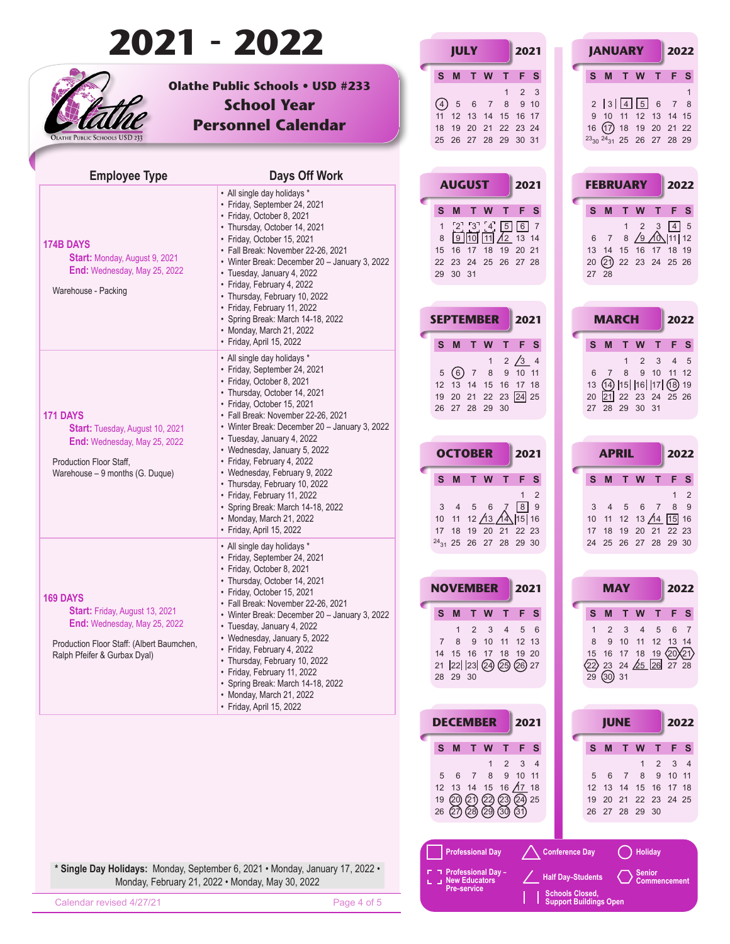|                                                                                                                                                                | 2021 - 2022                                                                                                                                                                                                                                                                                                                                  | <b>JULY</b><br>2021                                                                                                                                                                                                                       | <b>JANUARY</b><br>2022                                                                                                                                                                                                                                     |
|----------------------------------------------------------------------------------------------------------------------------------------------------------------|----------------------------------------------------------------------------------------------------------------------------------------------------------------------------------------------------------------------------------------------------------------------------------------------------------------------------------------------|-------------------------------------------------------------------------------------------------------------------------------------------------------------------------------------------------------------------------------------------|------------------------------------------------------------------------------------------------------------------------------------------------------------------------------------------------------------------------------------------------------------|
| <b>DLATHE PUBLIC SCHOOLS USD 233</b>                                                                                                                           | <b>Olathe Public Schools . USD #233</b><br><b>School Year</b><br><b>Personnel Calendar</b>                                                                                                                                                                                                                                                   | M T W<br>F S<br>S.<br>т<br>(4)<br>$\sqrt{5}$<br>$6\overline{6}$<br>8<br>9 <sub>10</sub><br>$\overline{7}$<br>11 12 13 14 15 16 17<br>18 19 20 21 22 23 24<br>25 26 27 28 29 30 31                                                         | F <sub>S</sub><br>S M T W<br>T<br>$2 \quad 3$<br>2  3  4  5 6<br>7 8<br>9 10 11 12 13 14 15<br>16 (17) 18 19 20 21 22<br>$23_{30}$ $24_{31}$ 25 26 27 28 29                                                                                                |
| <b>Employee Type</b>                                                                                                                                           | Days Off Work                                                                                                                                                                                                                                                                                                                                |                                                                                                                                                                                                                                           |                                                                                                                                                                                                                                                            |
| <b>174B DAYS</b><br><b>Start: Monday, August 9, 2021</b><br>End: Wednesday, May 25, 2022<br>Warehouse - Packing                                                | • All single day holidays *<br>• Friday, September 24, 2021<br>· Friday, October 8, 2021<br>• Thursday, October 14, 2021<br>· Friday, October 15, 2021<br>· Fall Break: November 22-26, 2021<br>• Winter Break: December 20 - January 3, 2022<br>· Tuesday, January 4, 2022<br>• Friday, February 4, 2022<br>• Thursday, February 10, 2022   | <b>AUGUST</b><br>2021<br>F <sub>S</sub><br>S M T<br>W<br>т<br>$\begin{bmatrix} 2 \\ 3 \\ 4 \end{bmatrix}$<br>$\boxed{5}$<br>6 7<br>$\mathbf{1}$<br>$9$ 10 11 $/12$ 13 14<br>8<br>15 16 17 18 19 20 21<br>22 23 24 25 26 27 28<br>29 30 31 | <b>FEBRUARY</b><br>2022<br>F <sub>S</sub><br>T.<br>W<br>T<br>S M<br>$\boxed{4}$ 5<br>$\overline{2}$<br>$\overline{3}$<br>$\mathbf{1}$<br>8 $\sqrt{9}$ $\sqrt{0}$  11   12<br>$7\overline{ }$<br>6<br>13 14 15 16 17 18 19<br>20 21 22 23 24 25 26<br>27 28 |
|                                                                                                                                                                | • Friday, February 11, 2022<br>· Spring Break: March 14-18, 2022<br>• Monday, March 21, 2022                                                                                                                                                                                                                                                 | <b>SEPTEMBER</b><br>2021                                                                                                                                                                                                                  | <b>MARCH</b><br>2022                                                                                                                                                                                                                                       |
|                                                                                                                                                                | · Friday, April 15, 2022<br>• All single day holidays *<br>· Friday, September 24, 2021<br>• Friday, October 8, 2021<br>• Thursday, October 14, 2021                                                                                                                                                                                         | S M<br>W<br>F<br>$\top$<br>2 / 3 4<br>5(6)7<br>8<br>9 10 11<br>12 13 14 15 16 17 18                                                                                                                                                       | S M T<br>- S<br><b>W</b><br>F S<br>2<br>4 <sub>5</sub><br>3<br>$\mathbf{1}$<br>9 10 11 12<br>8<br>$\overline{7}$<br>6<br>$(14)$  15   16   17  (18) 19<br>13                                                                                               |
| 171 DAYS<br><b>Start:</b> Tuesday, August 10, 2021<br>End: Wednesday, May 25, 2022                                                                             | · Friday, October 15, 2021<br>· Fall Break: November 22-26, 2021<br>• Winter Break: December 20 - January 3, 2022<br>• Tuesday, January 4, 2022<br>• Wednesday, January 5, 2022                                                                                                                                                              | 19 20 21 22 23 24 25<br>26 27 28 29 30<br><b>OCTOBER</b><br>2021                                                                                                                                                                          | 20 21 22 23 24 25 26<br>27 28 29 30 31<br><b>APRIL</b><br>2022                                                                                                                                                                                             |
| Production Floor Staff.<br>Warehouse - 9 months (G. Duque)                                                                                                     | • Friday, February 4, 2022<br>• Wednesday, February 9, 2022<br>• Thursday, February 10, 2022<br>• Friday, February 11, 2022<br>• Spring Break: March 14-18, 2022<br>• Monday, March 21, 2022<br>· Friday, April 15, 2022                                                                                                                     | S M T W<br>F S<br>т<br>$\mathbf{1}$<br>$\sqrt{8}$<br>5 6<br>$\overline{4}$<br>10 11 12 $\sqrt{13}$ $\sqrt{4}$ 15 16<br>17 18 19 20 21 22 23                                                                                               | S M T W<br>F S<br>2<br>$1\quad 2$<br>8 9<br>9<br>$5\phantom{.0}$<br>$6\overline{6}$<br>$\overline{7}$<br>$15$ 16<br>10 11 12 13 $/14$<br>17 18 19 20 21 22 23                                                                                              |
|                                                                                                                                                                | • All single day holidays *<br>· Friday, September 24, 2021<br>• Friday, October 8, 2021<br>• Thursday, October 14, 2021<br>· Friday, October 15, 2021                                                                                                                                                                                       | $24_{31}$ 25 26 27 28 29 30<br><b>NOVEMBER</b><br>2021                                                                                                                                                                                    | 24 25 26 27 28 29 30<br><b>MAY</b><br>2022                                                                                                                                                                                                                 |
| <b>169 DAYS</b><br>Start: Friday, August 13, 2021<br>End: Wednesday, May 25, 2022<br>Production Floor Staff: (Albert Baumchen,<br>Ralph Pfeifer & Gurbax Dyal) | · Fall Break: November 22-26, 2021<br>• Winter Break: December 20 - January 3, 2022<br>· Tuesday, January 4, 2022<br>• Wednesday, January 5, 2022<br>• Friday, February 4, 2022<br>• Thursday, February 10, 2022<br>• Friday, February 11, 2022<br>• Spring Break: March 14-18, 2022<br>• Monday, March 21, 2022<br>· Friday, April 15, 2022 | S M<br>T W T<br>F S<br>2<br>3<br>4<br>8<br>9 10 11 12 13<br>$\overline{7}$<br>14 15 16 17 18 19 20<br>21 22 23 24 25 26 27<br>28 29 30                                                                                                    | M T W T<br>F S<br>s<br>6 7<br>5 6<br>2<br>3<br>$\overline{4}$<br>5<br>9 10 11 12 13 14<br>8<br>$15$ 16 17 18 19 $(20)(21)$<br>$23$ 24 $\cancel{25}$ 26 $\overline{27}$ 28<br>∕22)<br>$29$ 30 31                                                            |
|                                                                                                                                                                |                                                                                                                                                                                                                                                                                                                                              | <b>DECEMBER</b><br>2021                                                                                                                                                                                                                   | <b>JUNE</b><br>2022                                                                                                                                                                                                                                        |
|                                                                                                                                                                |                                                                                                                                                                                                                                                                                                                                              | F S<br>S M<br>W<br>т<br>T.<br>2<br>3 <sub>4</sub><br>6<br>8<br>9<br>10 11<br>$\overline{7}$<br>12 13 14 15 16 $\overline{A7}$ 18<br>19 (20 (21) (22) (23) (24) 25<br>26(27)(28)<br>$(29)$ $(30)$<br>(31)                                  | F S<br>M<br>$\mathbf{T}$<br>W<br>s<br>т<br>3 <sub>4</sub><br>$\mathbf{1}$<br>2<br>10 11<br>$\overline{7}$<br>8<br>9<br>5<br>6<br>15 16 17 18<br>12 13 14<br>19 20 21 22 23 24 25<br>26 27 28 29 30                                                         |
|                                                                                                                                                                | * Single Day Holidays: Monday, September 6, 2021 · Monday, January 17, 2022 ·<br>Monday, February 21, 2022 . Monday, May 30, 2022                                                                                                                                                                                                            | <b>Professional Day</b><br>Professional Day -<br>J New Educators                                                                                                                                                                          | <b>Holiday</b><br><b>Conference Day</b><br>Senior<br><b>Half Day-Students</b><br><b>Commencement</b>                                                                                                                                                       |
| Calendar revised 4/27/21                                                                                                                                       | Page 4 of 5                                                                                                                                                                                                                                                                                                                                  | Pre-service                                                                                                                                                                                                                               | <b>Schools Closed,</b><br><b>Support Buildings Open</b>                                                                                                                                                                                                    |